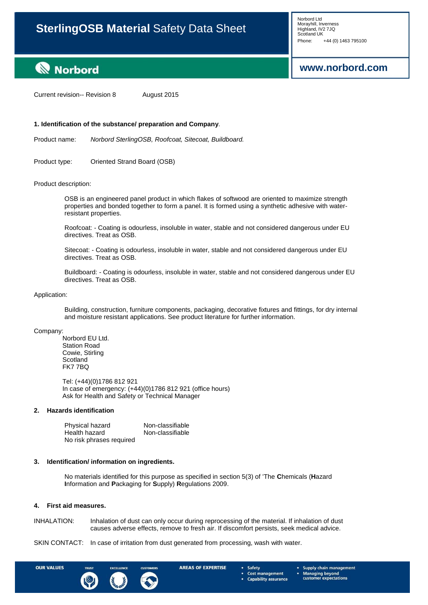# **[www.norbord.com](http://www.norbord.com/)**

# **Norbord**

Current revision-- Revision 8 August 2015

### **1. Identification of the substance/ preparation and Company**.

Product name: *Norbord SterlingOSB, Roofcoat, Sitecoat, Buildboard.*

Product type: Oriented Strand Board (OSB)

#### Product description:

OSB is an engineered panel product in which flakes of softwood are oriented to maximize strength properties and bonded together to form a panel. It is formed using a synthetic adhesive with waterresistant properties.

Roofcoat: - Coating is odourless, insoluble in water, stable and not considered dangerous under EU directives. Treat as OSB.

Sitecoat: - Coating is odourless, insoluble in water, stable and not considered dangerous under EU directives. Treat as OSB.

Buildboard: - Coating is odourless, insoluble in water, stable and not considered dangerous under EU directives. Treat as OSB.

#### Application:

Building, construction, furniture components, packaging, decorative fixtures and fittings, for dry internal and moisture resistant applications. See product literature for further information.

Company:

Norbord EU Ltd. Station Road Cowie, Stirling **Scotland** FK7 7BQ

Tel: (+44)(0)1786 812 921 In case of emergency: (+44)(0)1786 812 921 (office hours) Ask for Health and Safety or Technical Manager

#### **2. Hazards identification**

Physical hazard **Non-classifiable**<br>
Health hazard **Non-classifiable** Health hazard No risk phrases required

#### **3. Identification/ information on ingredients.**

No materials identified for this purpose as specified in section 5(3) of "The **C**hemicals (**H**azard **I**nformation and **P**ackaging for **S**upply) **R**egulations 2009.

#### **4. First aid measures.**

INHALATION: Inhalation of dust can only occur during reprocessing of the material. If inhalation of dust causes adverse effects, remove to fresh air. If discomfort persists, seek medical advice.

SKIN CONTACT: In case of irritation from dust generated from processing, wash with water.



**AREAS OF EXPERTISE** 

Safety **Cost management Capability assurance**  Supply chain management **Managing beyond<br>customer expectations**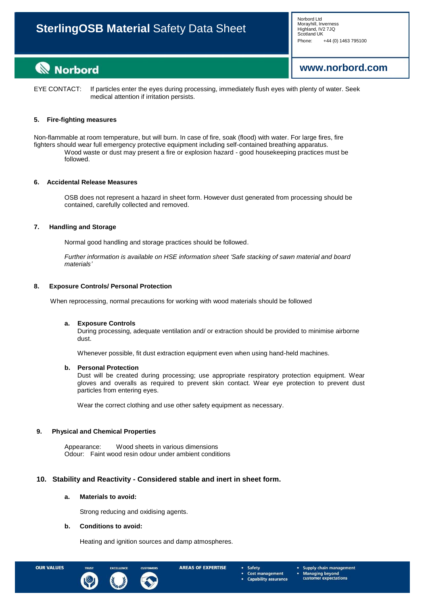Norbord Ltd Morayhill, Inverness<br>Highland, IV2 7JQ Phone: +44 (0) 1463 795100

# **[www.norbord.com](http://www.norbord.com/)**

# **Norbord**

EYE CONTACT: If particles enter the eyes during processing, immediately flush eyes with plenty of water. Seek medical attention if irritation persists.

# **5. Fire-fighting measures**

Non-flammable at room temperature, but will burn. In case of fire, soak (flood) with water. For large fires, fire fighters should wear full emergency protective equipment including self-contained breathing apparatus. Wood waste or dust may present a fire or explosion hazard - good housekeeping practices must be followed.

# **6. Accidental Release Measures**

OSB does not represent a hazard in sheet form. However dust generated from processing should be contained, carefully collected and removed.

### **7. Handling and Storage**

Normal good handling and storage practices should be followed.

*Further information is available on HSE information sheet 'Safe stacking of sawn material and board materials'*

### **8. Exposure Controls/ Personal Protection**

When reprocessing, normal precautions for working with wood materials should be followed

#### **a. Exposure Controls**

During processing, adequate ventilation and/ or extraction should be provided to minimise airborne dust.

Whenever possible, fit dust extraction equipment even when using hand-held machines.

#### **b. Personal Protection**

Dust will be created during processing; use appropriate respiratory protection equipment. Wear gloves and overalls as required to prevent skin contact. Wear eye protection to prevent dust particles from entering eyes.

Wear the correct clothing and use other safety equipment as necessary.

#### **9. Physical and Chemical Properties**

Appearance: Wood sheets in various dimensions Odour: Faint wood resin odour under ambient conditions

# **10. Stability and Reactivity - Considered stable and inert in sheet form.**

# **a. Materials to avoid:**

Strong reducing and oxidising agents.

#### **b. Conditions to avoid:**

Heating and ignition sources and damp atmospheres.



**AREAS OF EXPERTISE** 

Safety **Cost management Capability assurance**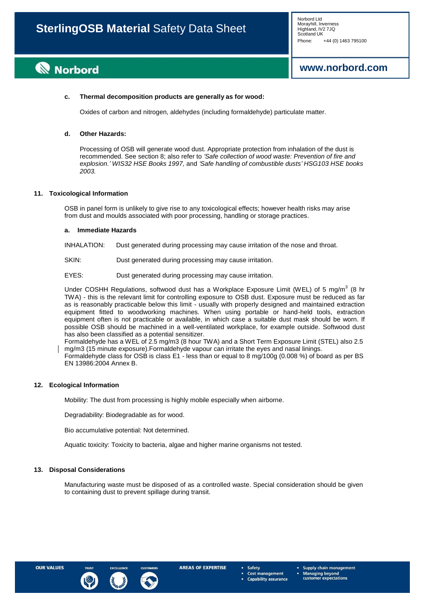# **Norbord**

# **[www.norbord.com](http://www.norbord.com/)**

## **c. Thermal decomposition products are generally as for wood:**

Oxides of carbon and nitrogen, aldehydes (including formaldehyde) particulate matter.

# **d. Other Hazards:**

Processing of OSB will generate wood dust. Appropriate protection from inhalation of the dust is recommended. See section 8; also refer to *'Safe collection of wood waste: Prevention of fire and explosion.' WIS32 HSE Books 1997,* and *'Safe handling of combustible dusts' HSG103 HSE books 2003.*

#### **11. Toxicological Information**

OSB in panel form is unlikely to give rise to any toxicological effects; however health risks may arise from dust and moulds associated with poor processing, handling or storage practices.

#### **a. Immediate Hazards**

INHALATION: Dust generated during processing may cause irritation of the nose and throat.

SKIN: Dust generated during processing may cause irritation.

EYES: Dust generated during processing may cause irritation.

Under COSHH Regulations, softwood dust has a Workplace Exposure Limit (WEL) of 5 mg/m<sup>3</sup> (8 hr TWA) - this is the relevant limit for controlling exposure to OSB dust. Exposure must be reduced as far as is reasonably practicable below this limit - usually with properly designed and maintained extraction equipment fitted to woodworking machines. When using portable or hand-held tools, extraction equipment often is not practicable or available, in which case a suitable dust mask should be worn. If possible OSB should be machined in a well-ventilated workplace, for example outside. Softwood dust has also been classified as a potential sensitizer.

Formaldehyde has a WEL of 2.5 mg/m3 (8 hour TWA) and a Short Term Exposure Limit (STEL) also 2.5 mg/m3 (15 minute exposure).Formaldehyde vapour can irritate the eyes and nasal linings.

Formaldehyde class for OSB is class E1 - less than or equal to 8 mg/100g (0.008 %) of board as per BS EN 13986:2004 Annex B.

#### **12. Ecological Information**

Mobility: The dust from processing is highly mobile especially when airborne.

Degradability: Biodegradable as for wood.

Bio accumulative potential: Not determined.

Aquatic toxicity: Toxicity to bacteria, algae and higher marine organisms not tested.

#### **13. Disposal Considerations**

Manufacturing waste must be disposed of as a controlled waste. Special consideration should be given to containing dust to prevent spillage during transit.



Safety **Cost management Capability assurance**